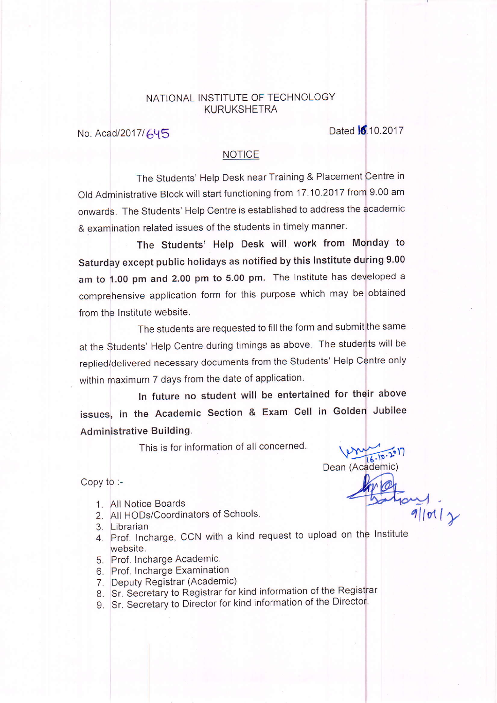### NATIONAL INSTITUTE OF TECHNOLOGY KURUKSHETRA

No. Acad/2017/645

#### NOTICE

The Students' Help Desk near Training & Placement Centre in Old Administrative Block will start functioning from 17.10.2017 from 9.00 am onwards. The Students' Help Centre is established to address the academic & examination related issues of the students in timely manner.

The Students' Help Desk will work from Monday to Saturday except public holidays as notified by this Institute during 9.00 am to 1.00 pm and 2.00 pm to 5.00 pm. The Institute has developed a comprehensive application form for this purpose which may be obtained from the Institute website.

The students are requested to fill the form and submit the same at the students' Help centre during timings as above. The students will be replied/delivered necessary documents from the Students' Help Centre only within maximum 7 days from the date of application.

ln future no student will be entertained for their above issues, in the Academic Section & Exam Cell in Golden Jubilee Administrative Building.

This is for information of all concerned.

 $(2)$ 

 $\frac{1}{9}$ loil y (Academic) Dean

- 1. All Notice Boards
- 2. All HODs/Coordinators of Schools.
- 3. Librarian

Copy to :-

- 4. Prof. Incharge, CCN with a kind request to upload on the Institutewebsite.
- 5. Prof. lncharge Academic.
- 6. Prof. Incharge Examination
- 7. Deputy Registrar (Academic)
- 8. Sr. Secretary to Registrar for kind information of the Registrar
- 9. Sr. Secretary to Director for kind information of the Director.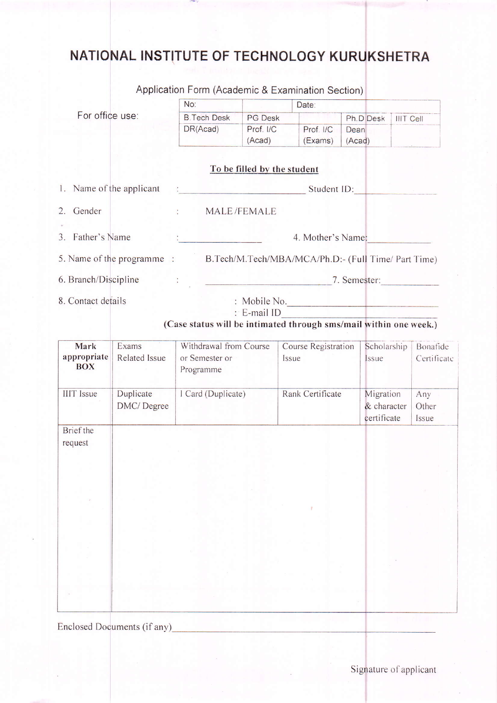# NATIONAL INSTITUTE OF TECHNOLOGY KURUKSHETRA

|                           |               | Application Form (Academic & Examination Section)                             |                                   |       |                     |        |                            |                  |                |  |
|---------------------------|---------------|-------------------------------------------------------------------------------|-----------------------------------|-------|---------------------|--------|----------------------------|------------------|----------------|--|
|                           |               | No:                                                                           |                                   | Date: |                     |        |                            |                  |                |  |
| For office use:           |               | <b>B.Tech Desk</b>                                                            | <b>PG Desk</b>                    |       |                     |        | Ph.D Desk                  | <b>IIIT Cell</b> |                |  |
|                           |               | DR(Acad)                                                                      | Prof. I/C                         |       | Prof. I/C           | Dean   |                            |                  |                |  |
|                           |               |                                                                               | (Acad)                            |       | (Exams)             | (Acad) |                            |                  |                |  |
|                           |               |                                                                               | To be filled by the student       |       |                     |        |                            |                  |                |  |
| 1. Name of the applicant  |               | Student ID:<br><u> Andrew Marshall (1986)</u>                                 |                                   |       |                     |        |                            |                  |                |  |
| 2. Gender                 |               | $\mathcal{L}$                                                                 | MALE/FEMALE                       |       |                     |        |                            |                  |                |  |
| 3. Father's Name          |               |                                                                               |                                   |       | 4. Mother's Name:   |        |                            |                  |                |  |
|                           |               | 5. Name of the programme: B.Tech/M.Tech/MBA/MCA/Ph.D:- (Full Time/ Part Time) |                                   |       |                     |        |                            |                  |                |  |
| 6. Branch/Discipline      |               |                                                                               | the control of the control of the |       |                     |        |                            |                  | 7. Semester:   |  |
| 8. Contact details        |               |                                                                               | : Mobile No.<br>$: E$ -mail ID    |       |                     |        |                            |                  |                |  |
|                           |               | (Case status will be intimated through sms/mail within one week.)             |                                   |       |                     |        |                            |                  |                |  |
| Mark                      | Exams         | Withdrawal from Course                                                        |                                   |       | Course Registration |        | Scholarship                |                  | Bonafide       |  |
| appropriate<br><b>BOX</b> | Related Issue | or Semester or<br>Programme                                                   |                                   | Issue |                     |        | Issue                      |                  | Certificate    |  |
| <b>IIIT</b> Issue         | Duplicate     | I Card (Duplicate)                                                            |                                   |       | Rank Certificate    |        | Migration                  |                  | Any            |  |
|                           | DMC/Degree    |                                                                               |                                   |       |                     |        | & character<br>certificate |                  | Other<br>Issue |  |
| <b>Brief</b> the          |               |                                                                               |                                   |       |                     |        |                            |                  |                |  |
| request                   |               |                                                                               |                                   |       |                     |        |                            |                  |                |  |
|                           |               |                                                                               |                                   |       |                     |        |                            |                  |                |  |
|                           |               |                                                                               |                                   |       |                     |        |                            |                  |                |  |
|                           |               |                                                                               |                                   |       |                     |        |                            |                  |                |  |
|                           |               |                                                                               |                                   |       |                     |        |                            |                  |                |  |
|                           |               |                                                                               |                                   |       |                     |        |                            |                  |                |  |
|                           |               |                                                                               |                                   |       |                     |        |                            |                  |                |  |
|                           |               |                                                                               |                                   |       |                     |        |                            |                  |                |  |
|                           |               |                                                                               |                                   |       |                     |        |                            |                  |                |  |
|                           |               |                                                                               |                                   |       |                     |        |                            |                  |                |  |
|                           |               |                                                                               |                                   |       |                     |        |                            |                  |                |  |
|                           |               |                                                                               |                                   |       |                     |        |                            |                  |                |  |
|                           |               |                                                                               |                                   |       |                     |        |                            |                  |                |  |
|                           |               |                                                                               |                                   |       |                     |        |                            |                  |                |  |

Enclosed Documents (if any)\_